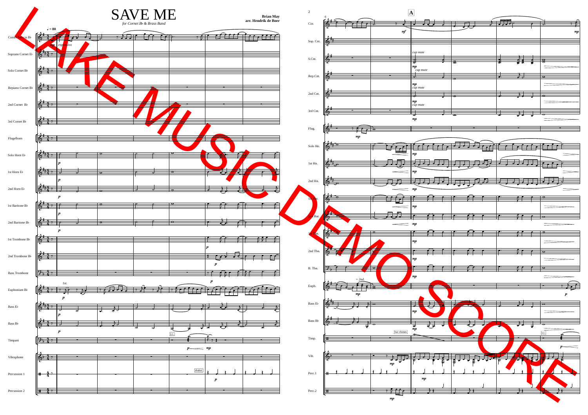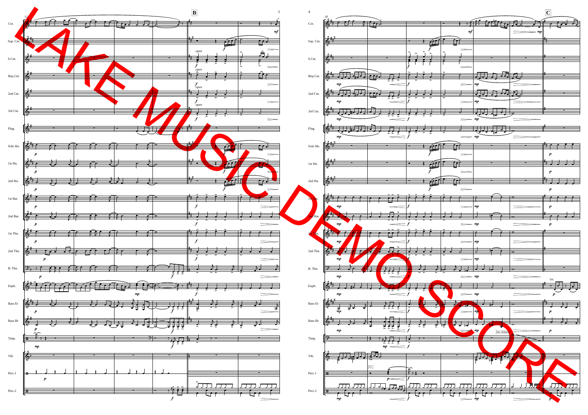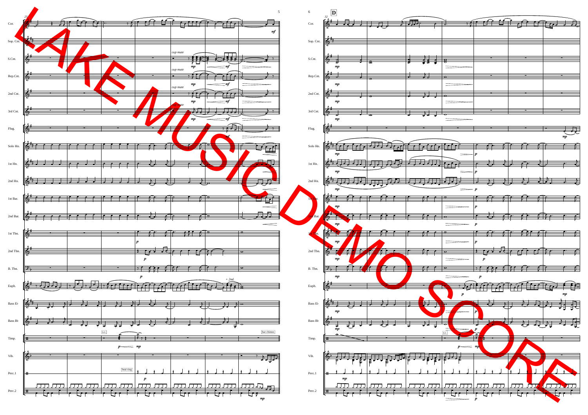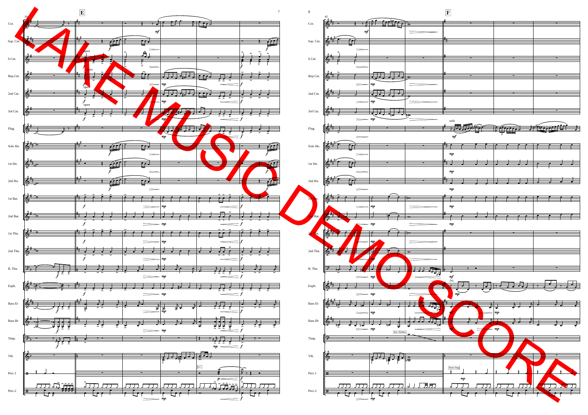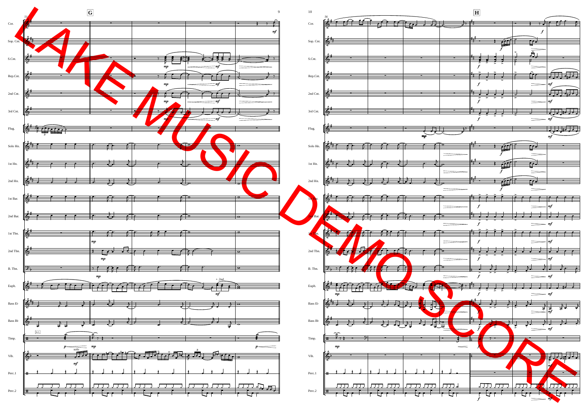